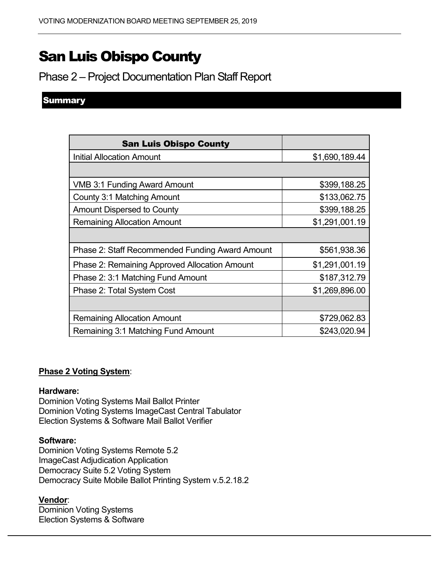# San Luis Obispo County

Phase 2 – Project Documentation Plan Staff Report

## **Summary**

| <b>San Luis Obispo County</b>                        |                |
|------------------------------------------------------|----------------|
| <b>Initial Allocation Amount</b>                     | \$1,690,189.44 |
|                                                      |                |
| <b>VMB 3:1 Funding Award Amount</b>                  | \$399,188.25   |
| County 3:1 Matching Amount                           | \$133,062.75   |
| <b>Amount Dispersed to County</b>                    | \$399,188.25   |
| <b>Remaining Allocation Amount</b>                   | \$1,291,001.19 |
|                                                      |                |
| Phase 2: Staff Recommended Funding Award Amount      | \$561,938.36   |
| <b>Phase 2: Remaining Approved Allocation Amount</b> | \$1,291,001.19 |
| Phase 2: 3:1 Matching Fund Amount                    | \$187,312.79   |
| Phase 2: Total System Cost                           | \$1,269,896.00 |
|                                                      |                |
| <b>Remaining Allocation Amount</b>                   | \$729,062.83   |
| Remaining 3:1 Matching Fund Amount                   | \$243,020.94   |

## **Phase 2 Voting System**:

#### **Hardware:**

Dominion Voting Systems Mail Ballot Printer Dominion Voting Systems ImageCast Central Tabulator Election Systems & Software Mail Ballot Verifier

## **Software:**

Dominion Voting Systems Remote 5.2 ImageCast Adjudication Application Democracy Suite 5.2 Voting System Democracy Suite Mobile Ballot Printing System v.5.2.18.2

## **Vendor**:

Dominion Voting Systems Election Systems & Software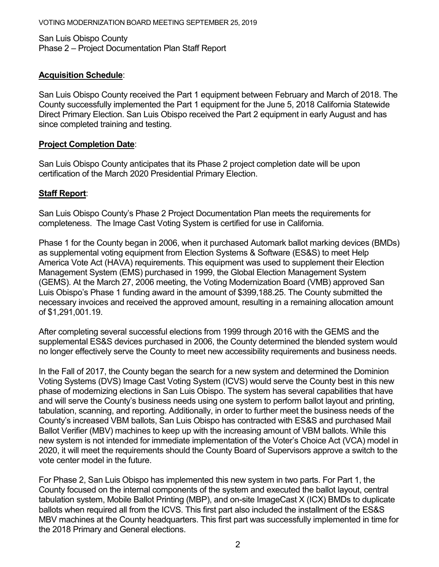San Luis Obispo County Phase 2 – Project Documentation Plan Staff Report

## **Acquisition Schedule**:

San Luis Obispo County received the Part 1 equipment between February and March of 2018. The County successfully implemented the Part 1 equipment for the June 5, 2018 California Statewide Direct Primary Election. San Luis Obispo received the Part 2 equipment in early August and has since completed training and testing.

## **Project Completion Date**:

San Luis Obispo County anticipates that its Phase 2 project completion date will be upon certification of the March 2020 Presidential Primary Election.

## **Staff Report**:

San Luis Obispo County's Phase 2 Project Documentation Plan meets the requirements for completeness. The Image Cast Voting System is certified for use in California.

Phase 1 for the County began in 2006, when it purchased Automark ballot marking devices (BMDs) as supplemental voting equipment from Election Systems & Software (ES&S) to meet Help America Vote Act (HAVA) requirements. This equipment was used to supplement their Election Management System (EMS) purchased in 1999, the Global Election Management System (GEMS). At the March 27, 2006 meeting, the Voting Modernization Board (VMB) approved San Luis Obispo's Phase 1 funding award in the amount of \$399,188.25. The County submitted the necessary invoices and received the approved amount, resulting in a remaining allocation amount of \$1,291,001.19.

After completing several successful elections from 1999 through 2016 with the GEMS and the supplemental ES&S devices purchased in 2006, the County determined the blended system would no longer effectively serve the County to meet new accessibility requirements and business needs.

In the Fall of 2017, the County began the search for a new system and determined the Dominion Voting Systems (DVS) Image Cast Voting System (ICVS) would serve the County best in this new phase of modernizing elections in San Luis Obispo. The system has several capabilities that have and will serve the County's business needs using one system to perform ballot layout and printing, tabulation, scanning, and reporting. Additionally, in order to further meet the business needs of the County's increased VBM ballots, San Luis Obispo has contracted with ES&S and purchased Mail Ballot Verifier (MBV) machines to keep up with the increasing amount of VBM ballots. While this new system is not intended for immediate implementation of the Voter's Choice Act (VCA) model in 2020, it will meet the requirements should the County Board of Supervisors approve a switch to the vote center model in the future.

For Phase 2, San Luis Obispo has implemented this new system in two parts. For Part 1, the County focused on the internal components of the system and executed the ballot layout, central tabulation system, Mobile Ballot Printing (MBP), and on-site ImageCast X (ICX) BMDs to duplicate ballots when required all from the ICVS. This first part also included the installment of the ES&S MBV machines at the County headquarters. This first part was successfully implemented in time for the 2018 Primary and General elections.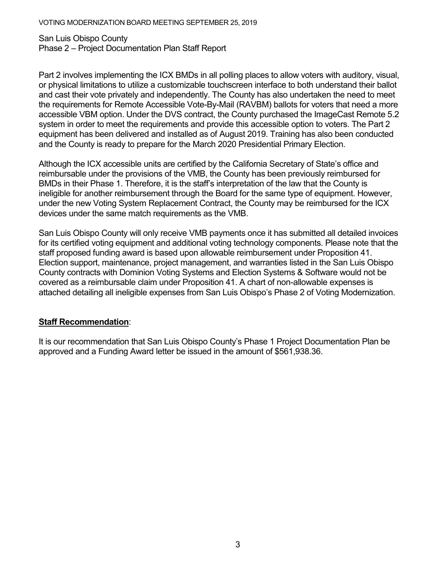VOTING MODERNIZATION BOARD MEETING SEPTEMBER 25, 2019

## San Luis Obispo County Phase 2 – Project Documentation Plan Staff Report

Part 2 involves implementing the ICX BMDs in all polling places to allow voters with auditory, visual, or physical limitations to utilize a customizable touchscreen interface to both understand their ballot and cast their vote privately and independently. The County has also undertaken the need to meet the requirements for Remote Accessible Vote-By-Mail (RAVBM) ballots for voters that need a more accessible VBM option. Under the DVS contract, the County purchased the ImageCast Remote 5.2 system in order to meet the requirements and provide this accessible option to voters. The Part 2 equipment has been delivered and installed as of August 2019. Training has also been conducted and the County is ready to prepare for the March 2020 Presidential Primary Election.

Although the ICX accessible units are certified by the California Secretary of State's office and reimbursable under the provisions of the VMB, the County has been previously reimbursed for BMDs in their Phase 1. Therefore, it is the staff's interpretation of the law that the County is ineligible for another reimbursement through the Board for the same type of equipment. However, under the new Voting System Replacement Contract, the County may be reimbursed for the ICX devices under the same match requirements as the VMB.

San Luis Obispo County will only receive VMB payments once it has submitted all detailed invoices for its certified voting equipment and additional voting technology components. Please note that the staff proposed funding award is based upon allowable reimbursement under Proposition 41. Election support, maintenance, project management, and warranties listed in the San Luis Obispo County contracts with Dominion Voting Systems and Election Systems & Software would not be covered as a reimbursable claim under Proposition 41. A chart of non-allowable expenses is attached detailing all ineligible expenses from San Luis Obispo's Phase 2 of Voting Modernization.

# **Staff Recommendation**:

It is our recommendation that San Luis Obispo County's Phase 1 Project Documentation Plan be approved and a Funding Award letter be issued in the amount of \$561,938.36.